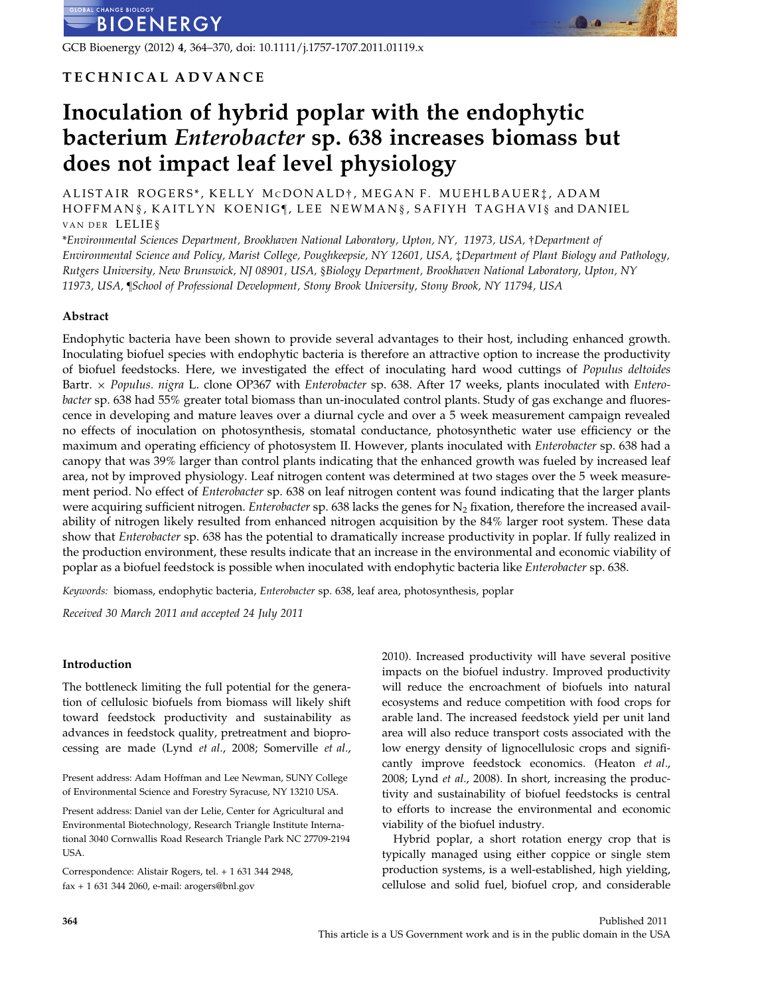GCB Bioenergy (2012) 4, 364–370, doi: 10.1111/j.1757-1707.2011.01119.x

# TECHNICAL ADVANCE

# Inoculation of hybrid poplar with the endophytic bacterium Enterobacter sp. 638 increases biomass but does not impact leaf level physiology

ALISTAIR ROGERS\*, KELLY MCDONALD†, MEGAN F. MUEHLBAUER‡, ADAM HOFFMAN §, KAITLYN KOENIG¶, LEE NEWMAN §, SAFIYH TAGHAVI § and DANIEL VAN DER LELIE§

\*Environmental Sciences Department, Brookhaven National Laboratory, Upton, NY, 11973, USA, †Department of Environmental Science and Policy, Marist College, Poughkeepsie, NY 12601, USA, ‡Department of Plant Biology and Pathology, Rutgers University, New Brunswick, NJ 08901, USA, §Biology Department, Brookhaven National Laboratory, Upton, NY 11973, USA, ¶School of Professional Development, Stony Brook University, Stony Brook, NY 11794, USA

# Abstract

Endophytic bacteria have been shown to provide several advantages to their host, including enhanced growth. Inoculating biofuel species with endophytic bacteria is therefore an attractive option to increase the productivity of biofuel feedstocks. Here, we investigated the effect of inoculating hard wood cuttings of Populus deltoides Bartr.  $\times$  Populus. nigra L. clone OP367 with Enterobacter sp. 638. After 17 weeks, plants inoculated with Enterobacter sp. 638 had 55% greater total biomass than un-inoculated control plants. Study of gas exchange and fluorescence in developing and mature leaves over a diurnal cycle and over a 5 week measurement campaign revealed no effects of inoculation on photosynthesis, stomatal conductance, photosynthetic water use efficiency or the maximum and operating efficiency of photosystem II. However, plants inoculated with Enterobacter sp. 638 had a canopy that was 39% larger than control plants indicating that the enhanced growth was fueled by increased leaf area, not by improved physiology. Leaf nitrogen content was determined at two stages over the 5 week measurement period. No effect of *Enterobacter* sp. 638 on leaf nitrogen content was found indicating that the larger plants were acquiring sufficient nitrogen. Enterobacter sp. 638 lacks the genes for  $N_2$  fixation, therefore the increased availability of nitrogen likely resulted from enhanced nitrogen acquisition by the 84% larger root system. These data show that Enterobacter sp. 638 has the potential to dramatically increase productivity in poplar. If fully realized in the production environment, these results indicate that an increase in the environmental and economic viability of poplar as a biofuel feedstock is possible when inoculated with endophytic bacteria like Enterobacter sp. 638.

Keywords: biomass, endophytic bacteria, Enterobacter sp. 638, leaf area, photosynthesis, poplar

Received 30 March 2011 and accepted 24 July 2011

### Introduction

The bottleneck limiting the full potential for the generation of cellulosic biofuels from biomass will likely shift toward feedstock productivity and sustainability as advances in feedstock quality, pretreatment and bioprocessing are made (Lynd et al., 2008; Somerville et al.,

Present address: Adam Hoffman and Lee Newman, SUNY College of Environmental Science and Forestry Syracuse, NY 13210 USA.

Present address: Daniel van der Lelie, Center for Agricultural and Environmental Biotechnology, Research Triangle Institute International 3040 Cornwallis Road Research Triangle Park NC 27709-2194 USA.

Correspondence: Alistair Rogers, tel. + 1 631 344 2948, fax + 1 631 344 2060, e-mail: arogers@bnl.gov

2010). Increased productivity will have several positive impacts on the biofuel industry. Improved productivity will reduce the encroachment of biofuels into natural ecosystems and reduce competition with food crops for arable land. The increased feedstock yield per unit land area will also reduce transport costs associated with the low energy density of lignocellulosic crops and significantly improve feedstock economics. (Heaton et al., 2008; Lynd et al., 2008). In short, increasing the productivity and sustainability of biofuel feedstocks is central to efforts to increase the environmental and economic viability of the biofuel industry.

Hybrid poplar, a short rotation energy crop that is typically managed using either coppice or single stem production systems, is a well-established, high yielding, cellulose and solid fuel, biofuel crop, and considerable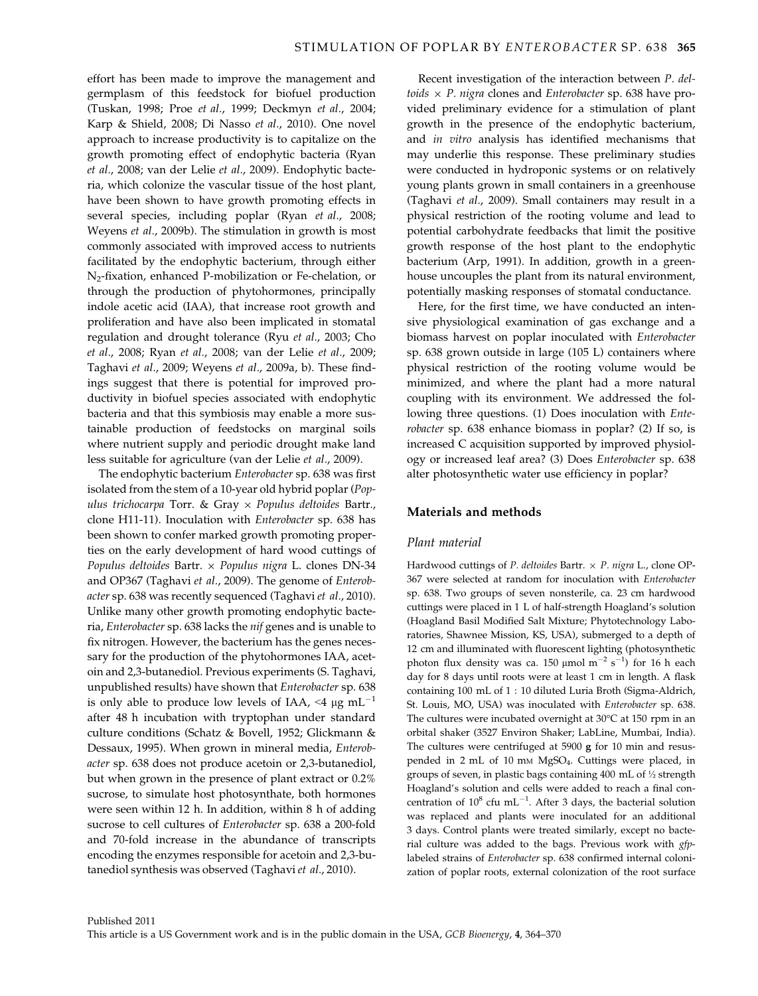effort has been made to improve the management and germplasm of this feedstock for biofuel production (Tuskan, 1998; Proe et al., 1999; Deckmyn et al., 2004; Karp & Shield, 2008; Di Nasso et al., 2010). One novel approach to increase productivity is to capitalize on the growth promoting effect of endophytic bacteria (Ryan et al., 2008; van der Lelie et al., 2009). Endophytic bacteria, which colonize the vascular tissue of the host plant, have been shown to have growth promoting effects in several species, including poplar (Ryan et al., 2008; Weyens et al., 2009b). The stimulation in growth is most commonly associated with improved access to nutrients facilitated by the endophytic bacterium, through either N2-fixation, enhanced P-mobilization or Fe-chelation, or through the production of phytohormones, principally indole acetic acid (IAA), that increase root growth and proliferation and have also been implicated in stomatal regulation and drought tolerance (Ryu et al., 2003; Cho et al., 2008; Ryan et al., 2008; van der Lelie et al., 2009; Taghavi et al., 2009; Weyens et al., 2009a, b). These findings suggest that there is potential for improved productivity in biofuel species associated with endophytic bacteria and that this symbiosis may enable a more sustainable production of feedstocks on marginal soils where nutrient supply and periodic drought make land less suitable for agriculture (van der Lelie et al., 2009).

The endophytic bacterium Enterobacter sp. 638 was first isolated from the stem of a 10-year old hybrid poplar (Populus trichocarpa Torr. & Gray  $\times$  Populus deltoides Bartr., clone H11-11). Inoculation with Enterobacter sp. 638 has been shown to confer marked growth promoting properties on the early development of hard wood cuttings of Populus deltoides Bartr.  $\times$  Populus nigra L. clones DN-34 and OP367 (Taghavi et al., 2009). The genome of Enterobacter sp. 638 was recently sequenced (Taghavi et al., 2010). Unlike many other growth promoting endophytic bacteria, Enterobacter sp. 638 lacks the nif genes and is unable to fix nitrogen. However, the bacterium has the genes necessary for the production of the phytohormones IAA, acetoin and 2,3-butanediol. Previous experiments (S. Taghavi, unpublished results) have shown that Enterobacter sp. 638 is only able to produce low levels of IAA, <4  $\mu$ g mL<sup>-1</sup> after 48 h incubation with tryptophan under standard culture conditions (Schatz & Bovell, 1952; Glickmann & Dessaux, 1995). When grown in mineral media, Enterobacter sp. 638 does not produce acetoin or 2,3-butanediol, but when grown in the presence of plant extract or 0.2% sucrose, to simulate host photosynthate, both hormones were seen within 12 h. In addition, within 8 h of adding sucrose to cell cultures of Enterobacter sp. 638 a 200-fold and 70-fold increase in the abundance of transcripts encoding the enzymes responsible for acetoin and 2,3-butanediol synthesis was observed (Taghavi et al., 2010).

Recent investigation of the interaction between P. deltoids  $\times$  P. nigra clones and Enterobacter sp. 638 have provided preliminary evidence for a stimulation of plant growth in the presence of the endophytic bacterium, and in vitro analysis has identified mechanisms that may underlie this response. These preliminary studies were conducted in hydroponic systems or on relatively young plants grown in small containers in a greenhouse (Taghavi et al., 2009). Small containers may result in a physical restriction of the rooting volume and lead to potential carbohydrate feedbacks that limit the positive growth response of the host plant to the endophytic bacterium (Arp, 1991). In addition, growth in a greenhouse uncouples the plant from its natural environment, potentially masking responses of stomatal conductance.

Here, for the first time, we have conducted an intensive physiological examination of gas exchange and a biomass harvest on poplar inoculated with Enterobacter sp. 638 grown outside in large (105 L) containers where physical restriction of the rooting volume would be minimized, and where the plant had a more natural coupling with its environment. We addressed the following three questions. (1) Does inoculation with Enterobacter sp. 638 enhance biomass in poplar? (2) If so, is increased C acquisition supported by improved physiology or increased leaf area? (3) Does Enterobacter sp. 638 alter photosynthetic water use efficiency in poplar?

# Materials and methods

# Plant material

Hardwood cuttings of P. deltoides Bartr.  $\times$  P. nigra L., clone OP-367 were selected at random for inoculation with Enterobacter sp. 638. Two groups of seven nonsterile, ca. 23 cm hardwood cuttings were placed in 1 L of half-strength Hoagland's solution (Hoagland Basil Modified Salt Mixture; Phytotechnology Laboratories, Shawnee Mission, KS, USA), submerged to a depth of 12 cm and illuminated with fluorescent lighting (photosynthetic photon flux density was ca. 150  $\mu$ mol m<sup>-2</sup> s<sup>-1</sup>) for 16 h each day for 8 days until roots were at least 1 cm in length. A flask containing 100 mL of 1 : 10 diluted Luria Broth (Sigma-Aldrich, St. Louis, MO, USA) was inoculated with Enterobacter sp. 638. The cultures were incubated overnight at 30°C at 150 rpm in an orbital shaker (3527 Environ Shaker; LabLine, Mumbai, India). The cultures were centrifuged at 5900 g for 10 min and resuspended in 2 mL of 10 mm MgSO<sub>4</sub>. Cuttings were placed, in groups of seven, in plastic bags containing 400 mL of ½ strength Hoagland's solution and cells were added to reach a final concentration of  $10^8$  cfu mL<sup>-1</sup>. After 3 days, the bacterial solution was replaced and plants were inoculated for an additional 3 days. Control plants were treated similarly, except no bacterial culture was added to the bags. Previous work with gfplabeled strains of Enterobacter sp. 638 confirmed internal colonization of poplar roots, external colonization of the root surface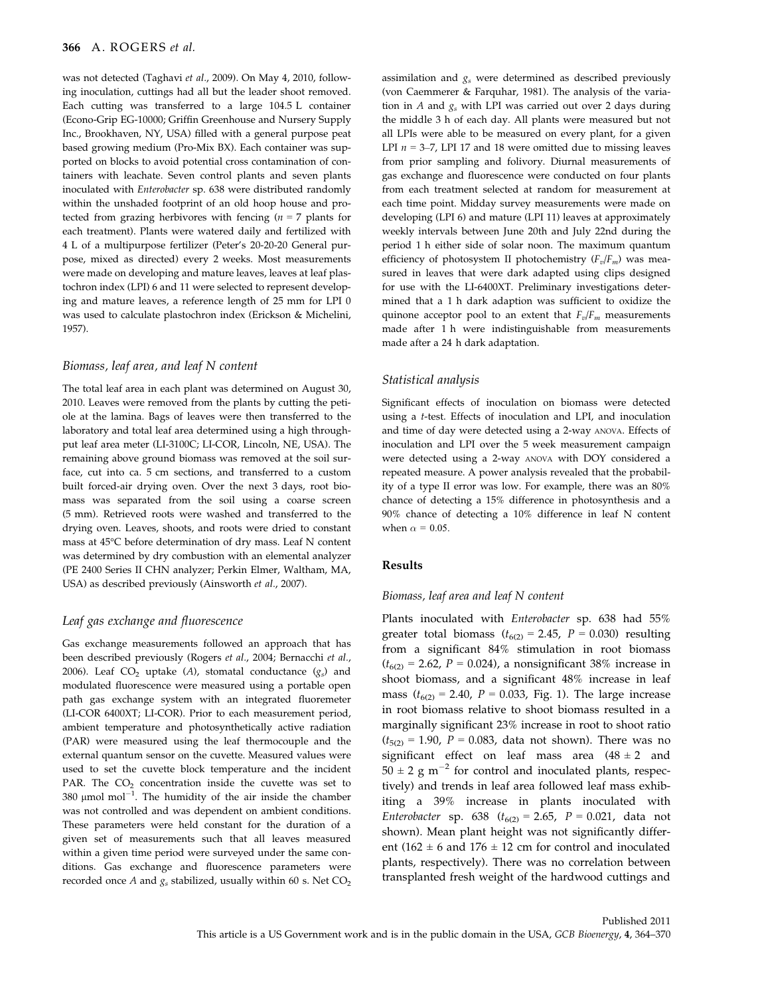was not detected (Taghavi et al., 2009). On May 4, 2010, following inoculation, cuttings had all but the leader shoot removed. Each cutting was transferred to a large 104.5 L container (Econo-Grip EG-10000; Griffin Greenhouse and Nursery Supply Inc., Brookhaven, NY, USA) filled with a general purpose peat based growing medium (Pro-Mix BX). Each container was supported on blocks to avoid potential cross contamination of containers with leachate. Seven control plants and seven plants inoculated with Enterobacter sp. 638 were distributed randomly within the unshaded footprint of an old hoop house and protected from grazing herbivores with fencing ( $n = 7$  plants for each treatment). Plants were watered daily and fertilized with 4 L of a multipurpose fertilizer (Peter's 20-20-20 General purpose, mixed as directed) every 2 weeks. Most measurements were made on developing and mature leaves, leaves at leaf plastochron index (LPI) 6 and 11 were selected to represent developing and mature leaves, a reference length of 25 mm for LPI 0 was used to calculate plastochron index (Erickson & Michelini, 1957).

#### Biomass, leaf area, and leaf N content

The total leaf area in each plant was determined on August 30, 2010. Leaves were removed from the plants by cutting the petiole at the lamina. Bags of leaves were then transferred to the laboratory and total leaf area determined using a high throughput leaf area meter (LI-3100C; LI-COR, Lincoln, NE, USA). The remaining above ground biomass was removed at the soil surface, cut into ca. 5 cm sections, and transferred to a custom built forced-air drying oven. Over the next 3 days, root biomass was separated from the soil using a coarse screen (5 mm). Retrieved roots were washed and transferred to the drying oven. Leaves, shoots, and roots were dried to constant mass at 45°C before determination of dry mass. Leaf N content was determined by dry combustion with an elemental analyzer (PE 2400 Series II CHN analyzer; Perkin Elmer, Waltham, MA, USA) as described previously (Ainsworth et al., 2007).

#### Leaf gas exchange and fluorescence

Gas exchange measurements followed an approach that has been described previously (Rogers et al., 2004; Bernacchi et al., 2006). Leaf  $CO<sub>2</sub>$  uptake (A), stomatal conductance  $(g<sub>s</sub>)$  and modulated fluorescence were measured using a portable open path gas exchange system with an integrated fluoremeter (LI-COR 6400XT; LI-COR). Prior to each measurement period, ambient temperature and photosynthetically active radiation (PAR) were measured using the leaf thermocouple and the external quantum sensor on the cuvette. Measured values were used to set the cuvette block temperature and the incident PAR. The  $CO<sub>2</sub>$  concentration inside the cuvette was set to 380  $\mu$ mol mol<sup>-1</sup>. The humidity of the air inside the chamber was not controlled and was dependent on ambient conditions. These parameters were held constant for the duration of a given set of measurements such that all leaves measured within a given time period were surveyed under the same conditions. Gas exchange and fluorescence parameters were recorded once A and  $g_s$  stabilized, usually within 60 s. Net  $CO<sub>2</sub>$  assimilation and  $g_s$  were determined as described previously (von Caemmerer & Farquhar, 1981). The analysis of the variation in A and  $g_s$  with LPI was carried out over 2 days during the middle 3 h of each day. All plants were measured but not all LPIs were able to be measured on every plant, for a given LPI  $n = 3-7$ , LPI 17 and 18 were omitted due to missing leaves from prior sampling and folivory. Diurnal measurements of gas exchange and fluorescence were conducted on four plants from each treatment selected at random for measurement at each time point. Midday survey measurements were made on developing (LPI 6) and mature (LPI 11) leaves at approximately weekly intervals between June 20th and July 22nd during the period 1 h either side of solar noon. The maximum quantum efficiency of photosystem II photochemistry  $(F_v/F_m)$  was measured in leaves that were dark adapted using clips designed for use with the LI-6400XT. Preliminary investigations determined that a 1 h dark adaption was sufficient to oxidize the quinone acceptor pool to an extent that  $F_v/F_m$  measurements made after 1 h were indistinguishable from measurements made after a 24 h dark adaptation.

#### Statistical analysis

Significant effects of inoculation on biomass were detected using a t-test. Effects of inoculation and LPI, and inoculation and time of day were detected using a 2-way ANOVA. Effects of inoculation and LPI over the 5 week measurement campaign were detected using a 2-way ANOVA with DOY considered a repeated measure. A power analysis revealed that the probability of a type II error was low. For example, there was an 80% chance of detecting a 15% difference in photosynthesis and a 90% chance of detecting a 10% difference in leaf N content when  $\alpha = 0.05$ .

#### Results

#### Biomass, leaf area and leaf N content

Plants inoculated with Enterobacter sp. 638 had 55% greater total biomass ( $t_{6(2)} = 2.45$ ,  $P = 0.030$ ) resulting from a significant 84% stimulation in root biomass  $(t_{6(2)} = 2.62, P = 0.024)$ , a nonsignificant 38% increase in shoot biomass, and a significant 48% increase in leaf mass ( $t_{6(2)} = 2.40$ ,  $P = 0.033$ , Fig. 1). The large increase in root biomass relative to shoot biomass resulted in a marginally significant 23% increase in root to shoot ratio  $(t_{5(2)} = 1.90, P = 0.083,$  data not shown). There was no significant effect on leaf mass area  $(48 \pm 2$  and  $50 \pm 2$  g m<sup>-2</sup> for control and inoculated plants, respectively) and trends in leaf area followed leaf mass exhibiting a 39% increase in plants inoculated with Enterobacter sp. 638 ( $t_{6(2)} = 2.65$ ,  $P = 0.021$ , data not shown). Mean plant height was not significantly different (162  $\pm$  6 and 176  $\pm$  12 cm for control and inoculated plants, respectively). There was no correlation between transplanted fresh weight of the hardwood cuttings and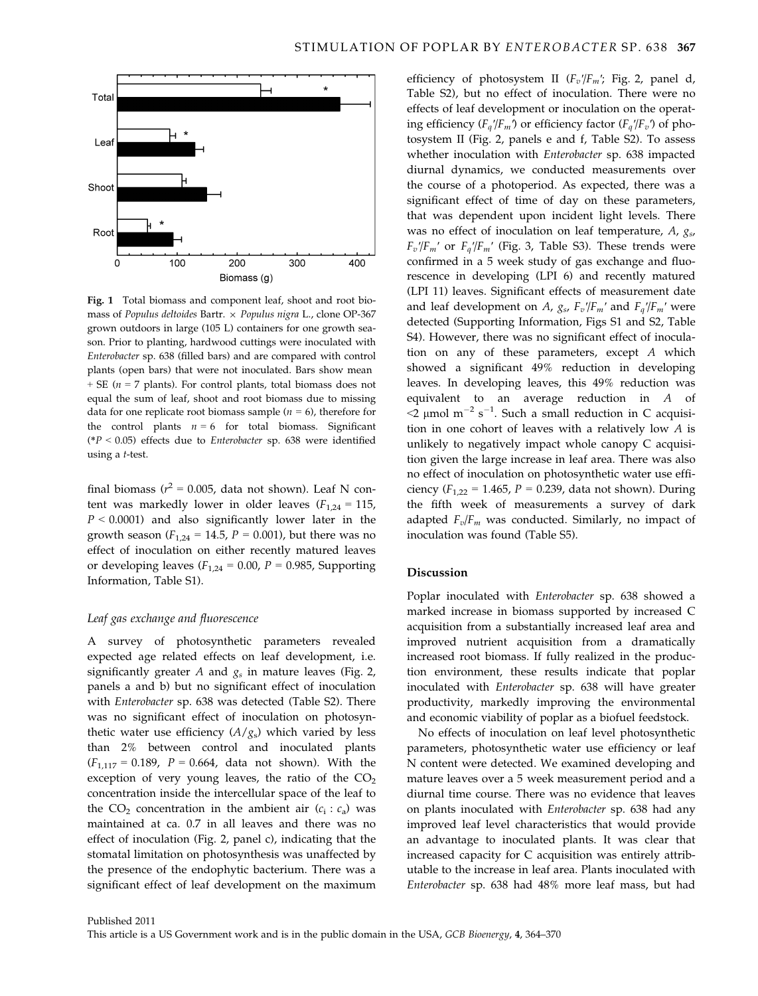

Fig. 1 Total biomass and component leaf, shoot and root biomass of Populus deltoides Bartr.  $\times$  Populus nigra L., clone OP-367 grown outdoors in large (105 L) containers for one growth season. Prior to planting, hardwood cuttings were inoculated with Enterobacter sp. 638 (filled bars) and are compared with control plants (open bars) that were not inoculated. Bars show mean  $+$  SE ( $n = 7$  plants). For control plants, total biomass does not equal the sum of leaf, shoot and root biomass due to missing data for one replicate root biomass sample ( $n = 6$ ), therefore for the control plants  $n = 6$  for total biomass. Significant  $(*P < 0.05)$  effects due to *Enterobacter* sp. 638 were identified using a t-test.

final biomass ( $r^2 = 0.005$ , data not shown). Leaf N content was markedly lower in older leaves  $(F_{1,24} = 115,$  $P < 0.0001$ ) and also significantly lower later in the growth season ( $F_{1,24} = 14.5$ ,  $P = 0.001$ ), but there was no effect of inoculation on either recently matured leaves or developing leaves  $(F_{1,24} = 0.00, P = 0.985,$  Supporting Information, Table S1).

#### Leaf gas exchange and fluorescence

A survey of photosynthetic parameters revealed expected age related effects on leaf development, i.e. significantly greater A and  $g_s$  in mature leaves (Fig. 2, panels a and b) but no significant effect of inoculation with Enterobacter sp. 638 was detected (Table S2). There was no significant effect of inoculation on photosynthetic water use efficiency  $(A/g_s)$  which varied by less than 2% between control and inoculated plants  $(F_{1,117} = 0.189, P = 0.664, \text{ data not shown}).$  With the exception of very young leaves, the ratio of the  $CO<sub>2</sub>$ concentration inside the intercellular space of the leaf to the CO<sub>2</sub> concentration in the ambient air  $(c_i : c_a)$  was maintained at ca. 0.7 in all leaves and there was no effect of inoculation (Fig. 2, panel c), indicating that the stomatal limitation on photosynthesis was unaffected by the presence of the endophytic bacterium. There was a significant effect of leaf development on the maximum efficiency of photosystem II  $(F_v/F_m)$ ; Fig. 2, panel d, Table S2), but no effect of inoculation. There were no effects of leaf development or inoculation on the operating efficiency ( $F_a/F_m$ ) or efficiency factor ( $F_a/F_v$ ) of photosystem II (Fig. 2, panels e and f, Table S2). To assess whether inoculation with Enterobacter sp. 638 impacted diurnal dynamics, we conducted measurements over the course of a photoperiod. As expected, there was a significant effect of time of day on these parameters, that was dependent upon incident light levels. There was no effect of inoculation on leaf temperature,  $A$ ,  $g<sub>s</sub>$ ,  $F_v/F_m'$  or  $F_q/F_m'$  (Fig. 3, Table S3). These trends were confirmed in a 5 week study of gas exchange and fluorescence in developing (LPI 6) and recently matured (LPI 11) leaves. Significant effects of measurement date and leaf development on A,  $g_{s}$ ,  $F_v$ '/ $F_m$ ' and  $F_a$ '/ $F_m$ ' were detected (Supporting Information, Figs S1 and S2, Table S4). However, there was no significant effect of inoculation on any of these parameters, except A which showed a significant 49% reduction in developing leaves. In developing leaves, this 49% reduction was equivalent to an average reduction in A of  $\leq$  µmol m<sup>-2</sup> s<sup>-1</sup>. Such a small reduction in C acquisition in one cohort of leaves with a relatively low A is unlikely to negatively impact whole canopy C acquisition given the large increase in leaf area. There was also no effect of inoculation on photosynthetic water use efficiency ( $F_{1,22} = 1.465$ ,  $P = 0.239$ , data not shown). During the fifth week of measurements a survey of dark adapted  $F_v/F_m$  was conducted. Similarly, no impact of inoculation was found (Table S5).

# Discussion

Poplar inoculated with Enterobacter sp. 638 showed a marked increase in biomass supported by increased C acquisition from a substantially increased leaf area and improved nutrient acquisition from a dramatically increased root biomass. If fully realized in the production environment, these results indicate that poplar inoculated with Enterobacter sp. 638 will have greater productivity, markedly improving the environmental and economic viability of poplar as a biofuel feedstock.

No effects of inoculation on leaf level photosynthetic parameters, photosynthetic water use efficiency or leaf N content were detected. We examined developing and mature leaves over a 5 week measurement period and a diurnal time course. There was no evidence that leaves on plants inoculated with Enterobacter sp. 638 had any improved leaf level characteristics that would provide an advantage to inoculated plants. It was clear that increased capacity for C acquisition was entirely attributable to the increase in leaf area. Plants inoculated with Enterobacter sp. 638 had 48% more leaf mass, but had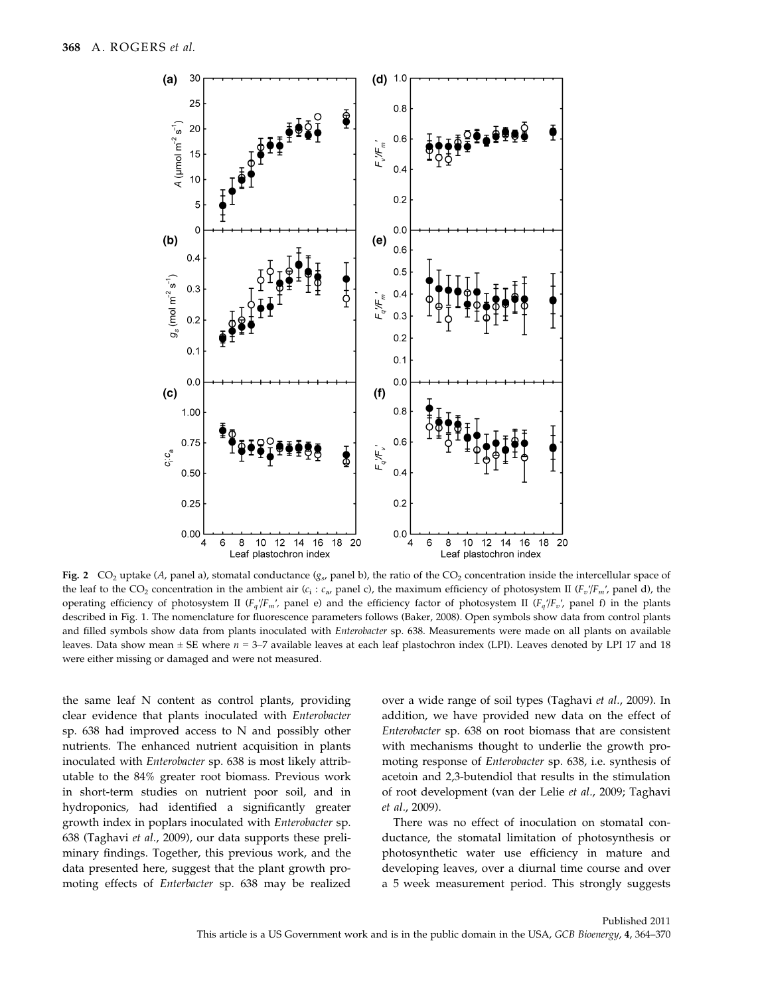

Fig. 2 CO<sub>2</sub> uptake (A, panel a), stomatal conductance ( $g<sub>s</sub>$ , panel b), the ratio of the CO<sub>2</sub> concentration inside the intercellular space of the leaf to the CO<sub>2</sub> concentration in the ambient air (c<sub>i</sub>: c<sub>a</sub>, panel c), the maximum efficiency of photosystem II ( $F_v/F_m$ ', panel d), the operating efficiency of photosystem II ( $F_a/F_m'$ , panel e) and the efficiency factor of photosystem II ( $F_a/F_v'$ , panel f) in the plants described in Fig. 1. The nomenclature for fluorescence parameters follows (Baker, 2008). Open symbols show data from control plants and filled symbols show data from plants inoculated with *Enterobacter* sp. 638. Measurements were made on all plants on available leaves. Data show mean  $\pm$  SE where  $n = 3-7$  available leaves at each leaf plastochron index (LPI). Leaves denoted by LPI 17 and 18 were either missing or damaged and were not measured.

the same leaf N content as control plants, providing clear evidence that plants inoculated with Enterobacter sp. 638 had improved access to N and possibly other nutrients. The enhanced nutrient acquisition in plants inoculated with Enterobacter sp. 638 is most likely attributable to the 84% greater root biomass. Previous work in short-term studies on nutrient poor soil, and in hydroponics, had identified a significantly greater growth index in poplars inoculated with Enterobacter sp. 638 (Taghavi et al., 2009), our data supports these preliminary findings. Together, this previous work, and the data presented here, suggest that the plant growth promoting effects of Enterbacter sp. 638 may be realized over a wide range of soil types (Taghavi et al., 2009). In addition, we have provided new data on the effect of Enterobacter sp. 638 on root biomass that are consistent with mechanisms thought to underlie the growth promoting response of Enterobacter sp. 638, i.e. synthesis of acetoin and 2,3-butendiol that results in the stimulation of root development (van der Lelie et al., 2009; Taghavi et al., 2009).

There was no effect of inoculation on stomatal conductance, the stomatal limitation of photosynthesis or photosynthetic water use efficiency in mature and developing leaves, over a diurnal time course and over a 5 week measurement period. This strongly suggests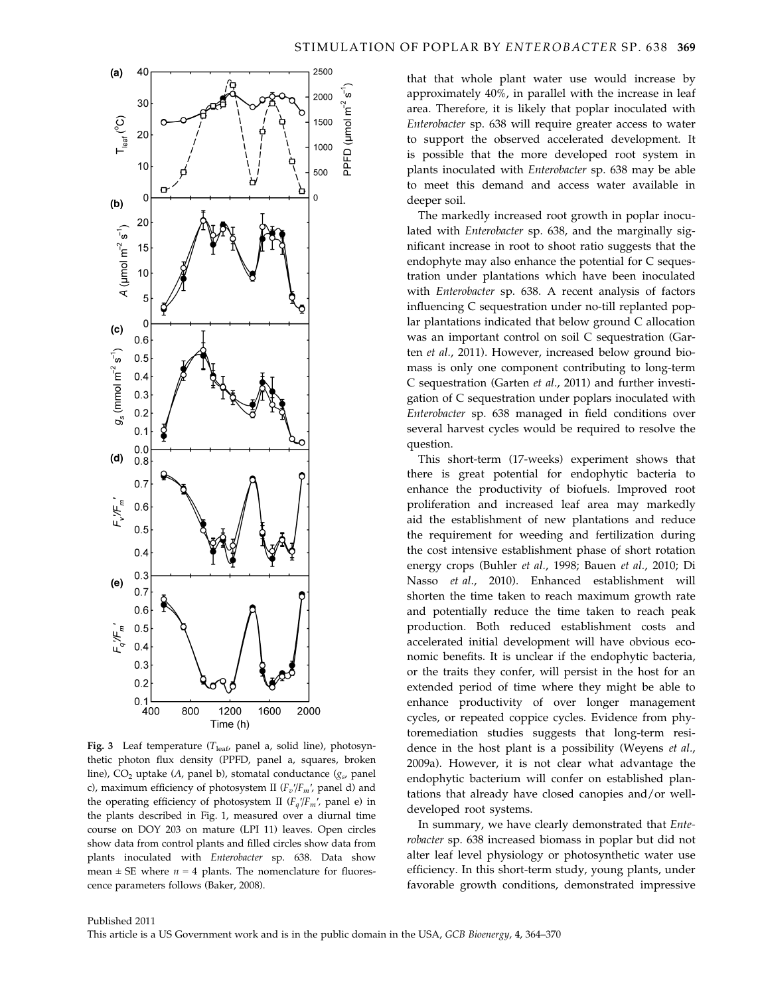

Fig. 3 Leaf temperature ( $T_{\text{leaf}}$ , panel a, solid line), photosynthetic photon flux density (PPFD, panel a, squares, broken line), CO<sub>2</sub> uptake (A, panel b), stomatal conductance ( $g_s$ , panel c), maximum efficiency of photosystem II ( $F_v/F_m$ ', panel d) and the operating efficiency of photosystem II ( $F_q/F_m$ ', panel e) in the plants described in Fig. 1, measured over a diurnal time course on DOY 203 on mature (LPI 11) leaves. Open circles show data from control plants and filled circles show data from plants inoculated with Enterobacter sp. 638. Data show mean  $\pm$  SE where  $n = 4$  plants. The nomenclature for fluorescence parameters follows (Baker, 2008).

that that whole plant water use would increase by approximately 40%, in parallel with the increase in leaf area. Therefore, it is likely that poplar inoculated with Enterobacter sp. 638 will require greater access to water to support the observed accelerated development. It is possible that the more developed root system in plants inoculated with Enterobacter sp. 638 may be able to meet this demand and access water available in deeper soil.

The markedly increased root growth in poplar inoculated with Enterobacter sp. 638, and the marginally significant increase in root to shoot ratio suggests that the endophyte may also enhance the potential for C sequestration under plantations which have been inoculated with Enterobacter sp. 638. A recent analysis of factors influencing C sequestration under no-till replanted poplar plantations indicated that below ground C allocation was an important control on soil C sequestration (Garten et al., 2011). However, increased below ground biomass is only one component contributing to long-term C sequestration (Garten et al., 2011) and further investigation of C sequestration under poplars inoculated with Enterobacter sp. 638 managed in field conditions over several harvest cycles would be required to resolve the question.

This short-term (17-weeks) experiment shows that there is great potential for endophytic bacteria to enhance the productivity of biofuels. Improved root proliferation and increased leaf area may markedly aid the establishment of new plantations and reduce the requirement for weeding and fertilization during the cost intensive establishment phase of short rotation energy crops (Buhler et al., 1998; Bauen et al., 2010; Di Nasso et al., 2010). Enhanced establishment will shorten the time taken to reach maximum growth rate and potentially reduce the time taken to reach peak production. Both reduced establishment costs and accelerated initial development will have obvious economic benefits. It is unclear if the endophytic bacteria, or the traits they confer, will persist in the host for an extended period of time where they might be able to enhance productivity of over longer management cycles, or repeated coppice cycles. Evidence from phytoremediation studies suggests that long-term residence in the host plant is a possibility (Weyens et al., 2009a). However, it is not clear what advantage the endophytic bacterium will confer on established plantations that already have closed canopies and/or welldeveloped root systems.

In summary, we have clearly demonstrated that Enterobacter sp. 638 increased biomass in poplar but did not alter leaf level physiology or photosynthetic water use efficiency. In this short-term study, young plants, under favorable growth conditions, demonstrated impressive